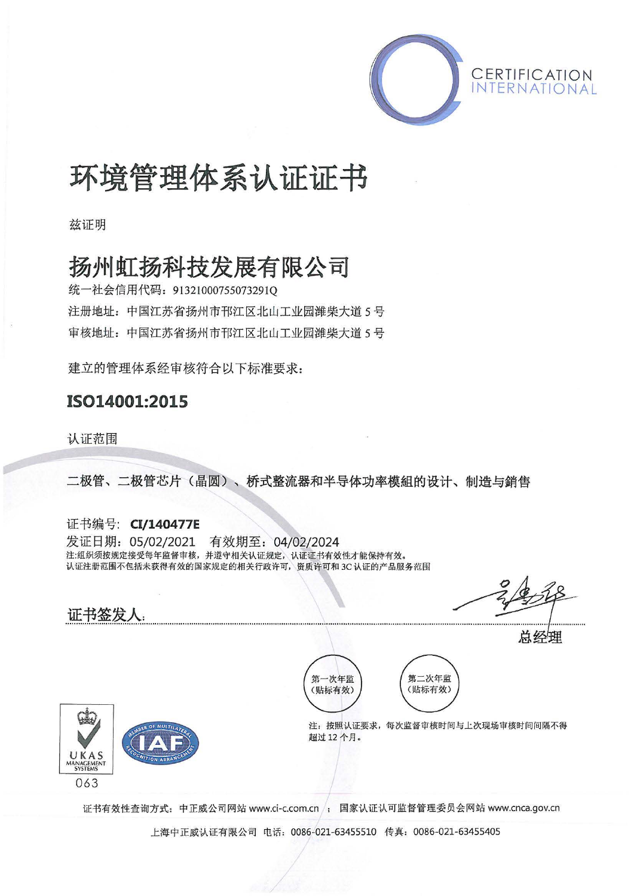

# 环境管理体系认证证书

兹证明

## 扬州虹扬科技发展有限公司

统一社会信用代码: 91321000755073291Q 注册地址: 中国江苏省扬州市邗江区北山工业园潍柴大道 5号 审核地址: 中国江苏省扬州市邗江区北山工业园潍柴大道 5号

建立的管理体系经审核符合以下标准要求:

### IS014001:2015

认证范围

证书签发人:

二极管、二极管芯片〈晶圆〉、桥式整流器和半导体功率模姐的设计、制造与销售

证书编号: Cl/140477E 发证日期: 05/02/2021 有效期至: 04/02/2024 注:组织须按规定接受每年监督审核,并遵守相关认证规定,认证证书有效性才能保持有效。 认证注册范围不包括未获得有效的国家规定的相关行政许可,资质许可和 JC 认证的产品服务范围

 $O<sub>1</sub>$  $\sqrt{2}$ 



总经理





注: 按照认证要求, 每次监督审核时间与上次现场审核时间间隔不得 超过 <sup>12</sup> 个月.

证书有效性查询方式: 中正威公司网站 www.ci-c.com.cn /; 国家认证认可监督管理委员会网站 www.cnca.gov.cn

上海中正威认iiE有限公司电话: 0086-021 <sup>63455510</sup> 传真: 0086-021-63455405